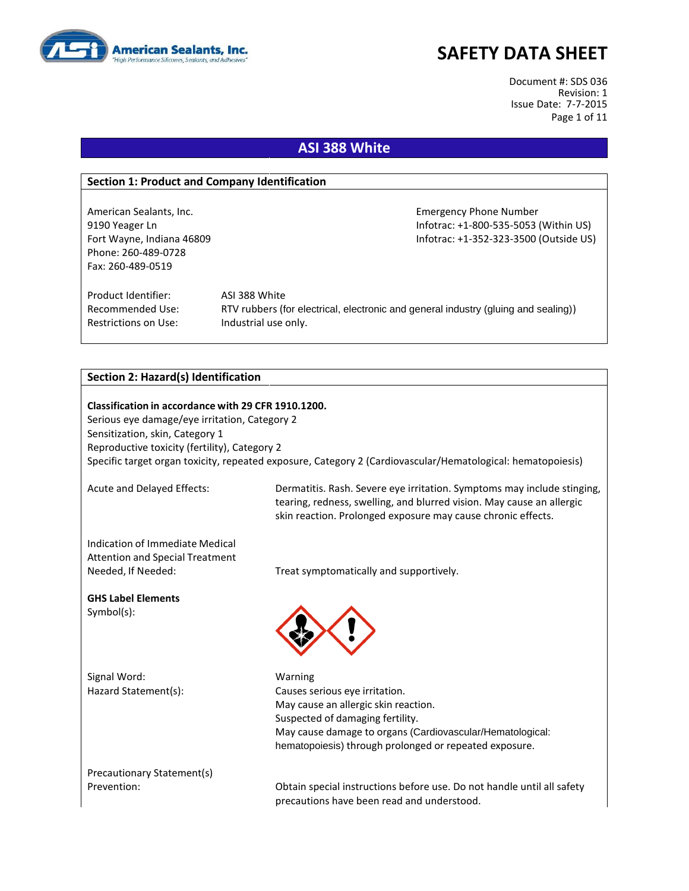

Document #: SDS 036 Revision: 1 Issue Date: 7-7-2015 Page 1 of 11

#### **ASI 388 White**

#### **Section 1: Product and Company Identification**

American Sealants, Inc. **Emergency Phone Number** Emergency Phone Number Phone: 260-489-0728 Fax: 260-489-0519

9190 Yeager Ln Infotrac: +1-800-535-5053 (Within US) Fort Wayne, Indiana 46809 **Information Controller Server Act 2018** Infotrac: +1-352-323-3500 (Outside US)

Product Identifier: ASI 388 White Restrictions on Use: Industrial use only.

Recommended Use: RTV rubbers (for electrical, electronic and general industry (gluing and sealing))

#### **Section 2: Hazard(s) Identification**

**Classification in accordance with 29 CFR 1910.1200.** Serious eye damage/eye irritation, Category 2 Sensitization, skin, Category 1 Reproductive toxicity (fertility), Category 2 Specific target organ toxicity, repeated exposure, Category 2 (Cardiovascular/Hematological: hematopoiesis)

Acute and Delayed Effects: Dermatitis. Rash. Severe eye irritation. Symptoms may include stinging, tearing, redness, swelling, and blurred vision. May cause an allergic skin reaction. Prolonged exposure may cause chronic effects.

Indication of Immediate Medical Attention and Special Treatment

Needed, If Needed: Treat symptomatically and supportively.

**GHS Label Elements** Symbol(s):

Signal Word: Warning

Hazard Statement(s): Causes serious eye irritation. May cause an allergic skin reaction. Suspected of damaging fertility. May cause damage to organs (Cardiovascular/Hematological: hematopoiesis) through prolonged or repeated exposure.

Precautionary Statement(s)

Prevention: Obtain special instructions before use. Do not handle until all safety precautions have been read and understood.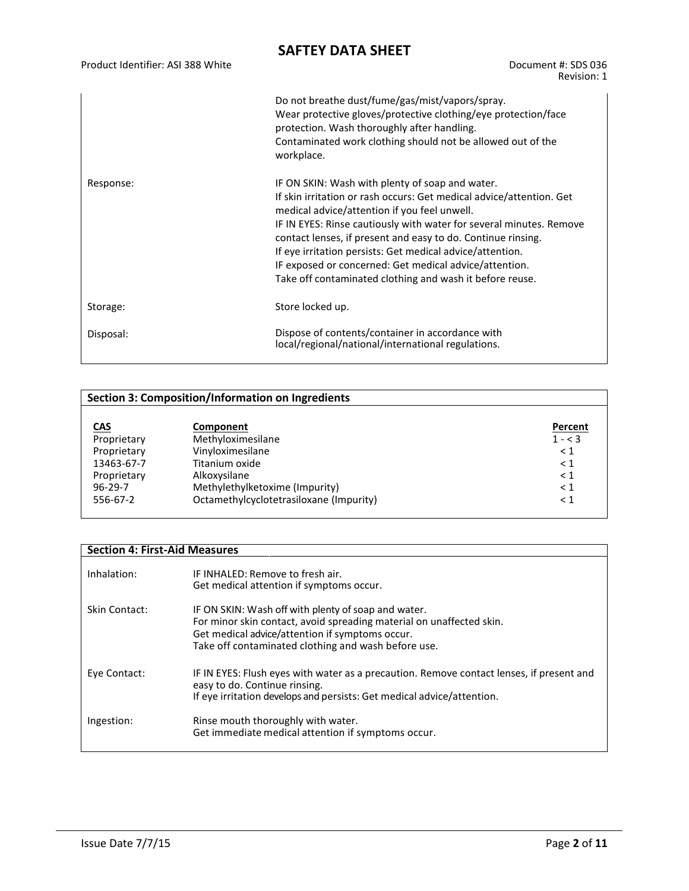Product Identifier: ASI 388 White Document #: SDS 036

Revision: 1

|           | Do not breathe dust/fume/gas/mist/vapors/spray.<br>Wear protective gloves/protective clothing/eye protection/face<br>protection. Wash thoroughly after handling.<br>Contaminated work clothing should not be allowed out of the<br>workplace.                                                                                                                                                                                                                                                     |
|-----------|---------------------------------------------------------------------------------------------------------------------------------------------------------------------------------------------------------------------------------------------------------------------------------------------------------------------------------------------------------------------------------------------------------------------------------------------------------------------------------------------------|
| Response: | IF ON SKIN: Wash with plenty of soap and water.<br>If skin irritation or rash occurs: Get medical advice/attention. Get<br>medical advice/attention if you feel unwell.<br>IF IN EYES: Rinse cautiously with water for several minutes. Remove<br>contact lenses, if present and easy to do. Continue rinsing.<br>If eye irritation persists: Get medical advice/attention.<br>IF exposed or concerned: Get medical advice/attention.<br>Take off contaminated clothing and wash it before reuse. |
| Storage:  | Store locked up.                                                                                                                                                                                                                                                                                                                                                                                                                                                                                  |
| Disposal: | Dispose of contents/container in accordance with<br>local/regional/national/international regulations.                                                                                                                                                                                                                                                                                                                                                                                            |

| <b>Section 3: Composition/Information on Ingredients</b> |                                         |           |  |
|----------------------------------------------------------|-----------------------------------------|-----------|--|
|                                                          |                                         |           |  |
| <b>CAS</b>                                               | Component                               | Percent   |  |
| Proprietary                                              | Methyloximesilane                       | $1 - < 3$ |  |
| Proprietary                                              | Vinyloximesilane                        | $\leq 1$  |  |
| 13463-67-7                                               | Titanium oxide                          | $\leq 1$  |  |
| Proprietary                                              | Alkoxysilane                            | $\leq 1$  |  |
| $96 - 29 - 7$                                            | Methylethylketoxime (Impurity)          | $\leq 1$  |  |
| 556-67-2                                                 | Octamethylcyclotetrasiloxane (Impurity) | $\leq 1$  |  |

| <b>Section 4: First-Aid Measures</b> |                                                                                                                                                                                                                                       |  |  |
|--------------------------------------|---------------------------------------------------------------------------------------------------------------------------------------------------------------------------------------------------------------------------------------|--|--|
| Inhalation:                          | IF INHALED: Remove to fresh air.<br>Get medical attention if symptoms occur.                                                                                                                                                          |  |  |
| Skin Contact:                        | IF ON SKIN: Wash off with plenty of soap and water.<br>For minor skin contact, avoid spreading material on unaffected skin.<br>Get medical advice/attention if symptoms occur.<br>Take off contaminated clothing and wash before use. |  |  |
| Eye Contact:                         | IF IN EYES: Flush eyes with water as a precaution. Remove contact lenses, if present and<br>easy to do. Continue rinsing.<br>If eye irritation develops and persists: Get medical advice/attention.                                   |  |  |
| Ingestion:                           | Rinse mouth thoroughly with water.<br>Get immediate medical attention if symptoms occur.                                                                                                                                              |  |  |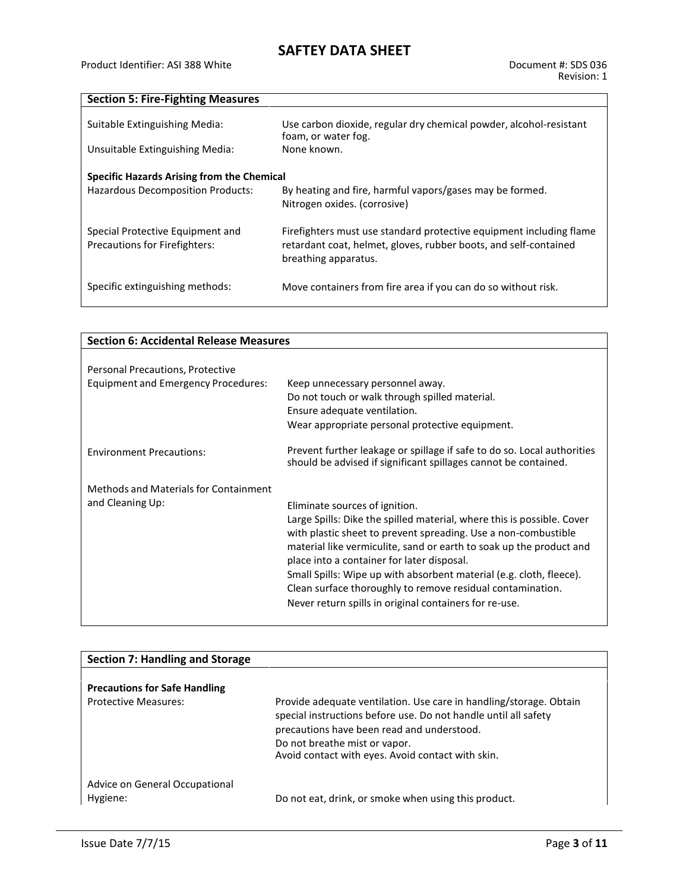| <b>Section 5: Fire-Fighting Measures</b>                                 |                                                                                                                                                                 |
|--------------------------------------------------------------------------|-----------------------------------------------------------------------------------------------------------------------------------------------------------------|
|                                                                          |                                                                                                                                                                 |
| Suitable Extinguishing Media:                                            | Use carbon dioxide, regular dry chemical powder, alcohol-resistant<br>foam, or water fog.                                                                       |
| Unsuitable Extinguishing Media:                                          | None known.                                                                                                                                                     |
| Specific Hazards Arising from the Chemical                               |                                                                                                                                                                 |
| <b>Hazardous Decomposition Products:</b>                                 | By heating and fire, harmful vapors/gases may be formed.<br>Nitrogen oxides. (corrosive)                                                                        |
| Special Protective Equipment and<br><b>Precautions for Firefighters:</b> | Firefighters must use standard protective equipment including flame<br>retardant coat, helmet, gloves, rubber boots, and self-contained<br>breathing apparatus. |
| Specific extinguishing methods:                                          | Move containers from fire area if you can do so without risk.                                                                                                   |

| <b>Section 6: Accidental Release Measures</b> |                                                                                                                                            |  |
|-----------------------------------------------|--------------------------------------------------------------------------------------------------------------------------------------------|--|
|                                               |                                                                                                                                            |  |
| Personal Precautions, Protective              |                                                                                                                                            |  |
| <b>Equipment and Emergency Procedures:</b>    | Keep unnecessary personnel away.                                                                                                           |  |
|                                               | Do not touch or walk through spilled material.                                                                                             |  |
|                                               | Ensure adequate ventilation.                                                                                                               |  |
|                                               | Wear appropriate personal protective equipment.                                                                                            |  |
| <b>Environment Precautions:</b>               | Prevent further leakage or spillage if safe to do so. Local authorities<br>should be advised if significant spillages cannot be contained. |  |
| Methods and Materials for Containment         |                                                                                                                                            |  |
| and Cleaning Up:                              | Eliminate sources of ignition.                                                                                                             |  |
|                                               | Large Spills: Dike the spilled material, where this is possible. Cover                                                                     |  |
|                                               | with plastic sheet to prevent spreading. Use a non-combustible                                                                             |  |
|                                               | material like vermiculite, sand or earth to soak up the product and<br>place into a container for later disposal.                          |  |
|                                               | Small Spills: Wipe up with absorbent material (e.g. cloth, fleece).                                                                        |  |
|                                               | Clean surface thoroughly to remove residual contamination.                                                                                 |  |
|                                               | Never return spills in original containers for re-use.                                                                                     |  |

| Section 7: Handling and Storage            |                                                                                                                                                                                                                                                                           |
|--------------------------------------------|---------------------------------------------------------------------------------------------------------------------------------------------------------------------------------------------------------------------------------------------------------------------------|
|                                            |                                                                                                                                                                                                                                                                           |
| <b>Precautions for Safe Handling</b>       |                                                                                                                                                                                                                                                                           |
| <b>Protective Measures:</b>                | Provide adequate ventilation. Use care in handling/storage. Obtain<br>special instructions before use. Do not handle until all safety<br>precautions have been read and understood.<br>Do not breathe mist or vapor.<br>Avoid contact with eyes. Avoid contact with skin. |
| Advice on General Occupational<br>Hygiene: | Do not eat, drink, or smoke when using this product.                                                                                                                                                                                                                      |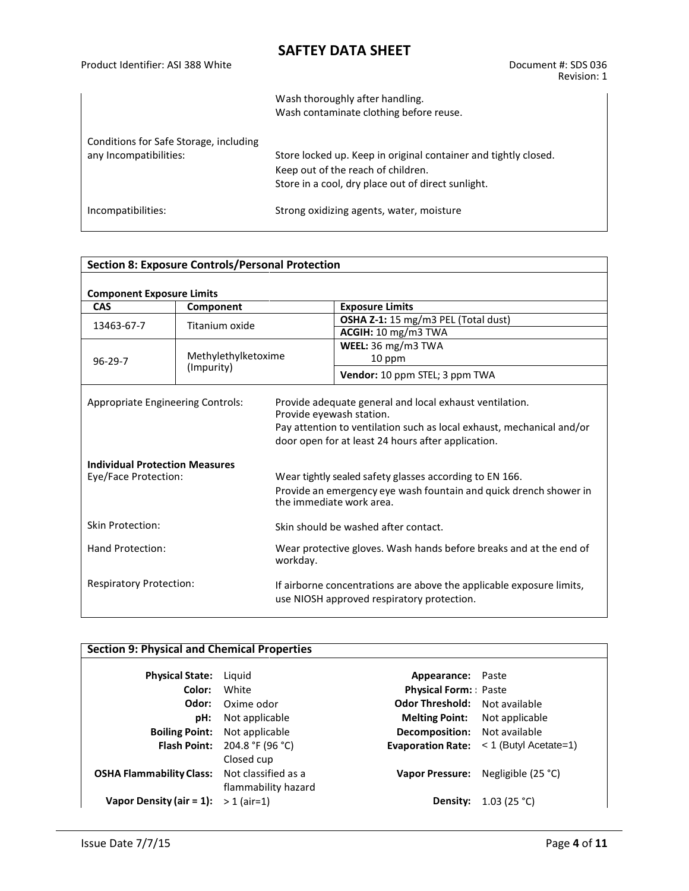|                                                                  | Wash thoroughly after handling.<br>Wash contaminate clothing before reuse.                                                                                  |
|------------------------------------------------------------------|-------------------------------------------------------------------------------------------------------------------------------------------------------------|
| Conditions for Safe Storage, including<br>any Incompatibilities: | Store locked up. Keep in original container and tightly closed.<br>Keep out of the reach of children.<br>Store in a cool, dry place out of direct sunlight. |
| Incompatibilities:                                               | Strong oxidizing agents, water, moisture                                                                                                                    |

| <b>Section 8: Exposure Controls/Personal Protection</b>              |                     |                                                                                |                                                                                                                                                                                        |  |
|----------------------------------------------------------------------|---------------------|--------------------------------------------------------------------------------|----------------------------------------------------------------------------------------------------------------------------------------------------------------------------------------|--|
| <b>Component Exposure Limits</b>                                     |                     |                                                                                |                                                                                                                                                                                        |  |
| <b>CAS</b>                                                           | Component           |                                                                                | <b>Exposure Limits</b>                                                                                                                                                                 |  |
| 13463-67-7                                                           | Titanium oxide      |                                                                                | OSHA Z-1: 15 mg/m3 PEL (Total dust)                                                                                                                                                    |  |
|                                                                      |                     |                                                                                | ACGIH: 10 mg/m3 TWA                                                                                                                                                                    |  |
|                                                                      |                     |                                                                                | WEEL: 36 mg/m3 TWA                                                                                                                                                                     |  |
| $96 - 29 - 7$                                                        | Methylethylketoxime |                                                                                | 10 ppm                                                                                                                                                                                 |  |
|                                                                      | (Impurity)          |                                                                                | Vendor: 10 ppm STEL; 3 ppm TWA                                                                                                                                                         |  |
| <b>Appropriate Engineering Controls:</b><br>Provide eyewash station. |                     |                                                                                | Provide adequate general and local exhaust ventilation.<br>Pay attention to ventilation such as local exhaust, mechanical and/or<br>door open for at least 24 hours after application. |  |
| <b>Individual Protection Measures</b><br>Eye/Face Protection:        |                     |                                                                                | Wear tightly sealed safety glasses according to EN 166.<br>Provide an emergency eye wash fountain and quick drench shower in<br>the immediate work area.                               |  |
| Skin Protection:                                                     |                     |                                                                                | Skin should be washed after contact.                                                                                                                                                   |  |
| Hand Protection:                                                     |                     | Wear protective gloves. Wash hands before breaks and at the end of<br>workday. |                                                                                                                                                                                        |  |
| <b>Respiratory Protection:</b>                                       |                     |                                                                                | If airborne concentrations are above the applicable exposure limits,<br>use NIOSH approved respiratory protection.                                                                     |  |

| <b>Section 9: Physical and Chemical Properties</b> |                                                          |                                     |                                    |
|----------------------------------------------------|----------------------------------------------------------|-------------------------------------|------------------------------------|
| <b>Physical State:</b>                             | Liguid                                                   | Appearance: Paste                   |                                    |
| Color:                                             | White                                                    | <b>Physical Form:</b> Paste         |                                    |
| Odor:                                              | Oxime odor                                               | <b>Odor Threshold:</b>              | Not available                      |
| pH:                                                | Not applicable                                           | <b>Melting Point:</b>               | Not applicable                     |
| <b>Boiling Point:</b>                              | Not applicable                                           | <b>Decomposition:</b> Not available |                                    |
| <b>Flash Point:</b>                                | 204.8 °F (96 °C)                                         | <b>Evaporation Rate:</b>            | $<$ 1 (Butyl Acetate=1)            |
| <b>OSHA Flammability Class:</b>                    | Closed cup<br>Not classified as a<br>flammability hazard |                                     | Vapor Pressure: Negligible (25 °C) |
| Vapor Density (air = 1):                           | $> 1$ (air=1)                                            | Density:                            | 1.03(25 °C)                        |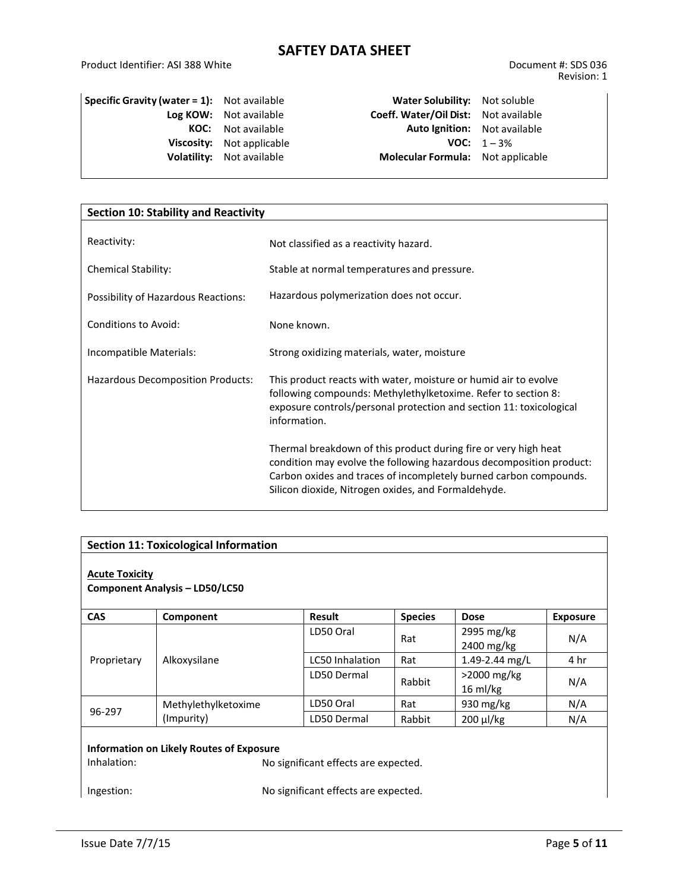| <b>Specific Gravity (water = 1):</b> Not available |                                  |  |
|----------------------------------------------------|----------------------------------|--|
|                                                    | Log KOW: Not available           |  |
| KOC:                                               | Not available                    |  |
| Viscosity:                                         | Not applicable                   |  |
|                                                    | <b>Volatility:</b> Not available |  |
|                                                    |                                  |  |

**Water Solubility:** Not soluble **Log KOW:** Not available **Coeff. Water/Oil Dist:** Not available **Auto Ignition:** Not available **VOC:**  $1 - 3%$ **Molecular Formula:** Not applicable

| <b>Section 10: Stability and Reactivity</b> |                                                                                                                                                                                                                                                                    |  |  |
|---------------------------------------------|--------------------------------------------------------------------------------------------------------------------------------------------------------------------------------------------------------------------------------------------------------------------|--|--|
|                                             |                                                                                                                                                                                                                                                                    |  |  |
| Reactivity:                                 | Not classified as a reactivity hazard.                                                                                                                                                                                                                             |  |  |
| <b>Chemical Stability:</b>                  | Stable at normal temperatures and pressure.                                                                                                                                                                                                                        |  |  |
| Possibility of Hazardous Reactions:         | Hazardous polymerization does not occur.                                                                                                                                                                                                                           |  |  |
| <b>Conditions to Avoid:</b>                 | None known.                                                                                                                                                                                                                                                        |  |  |
| Incompatible Materials:                     | Strong oxidizing materials, water, moisture                                                                                                                                                                                                                        |  |  |
| Hazardous Decomposition Products:           | This product reacts with water, moisture or humid air to evolve<br>following compounds: Methylethylketoxime. Refer to section 8:<br>exposure controls/personal protection and section 11: toxicological<br>information.                                            |  |  |
|                                             | Thermal breakdown of this product during fire or very high heat<br>condition may evolve the following hazardous decomposition product:<br>Carbon oxides and traces of incompletely burned carbon compounds.<br>Silicon dioxide, Nitrogen oxides, and Formaldehyde. |  |  |

| <b>Section 11: Toxicological Information</b>                                                                                                                 |                     |                        |                |                                      |                 |
|--------------------------------------------------------------------------------------------------------------------------------------------------------------|---------------------|------------------------|----------------|--------------------------------------|-----------------|
| <b>Acute Toxicity</b><br><b>Component Analysis - LD50/LC50</b>                                                                                               |                     |                        |                |                                      |                 |
| <b>CAS</b>                                                                                                                                                   | Component           | <b>Result</b>          | <b>Species</b> | <b>Dose</b>                          | <b>Exposure</b> |
|                                                                                                                                                              | Alkoxysilane        | LD50 Oral              | Rat            | 2995 mg/kg<br>2400 mg/kg             | N/A             |
| Proprietary                                                                                                                                                  |                     | <b>LC50</b> Inhalation | Rat            | 1.49-2.44 mg/L                       | 4 hr            |
|                                                                                                                                                              |                     | LD50 Dermal            | Rabbit         | $>$ 2000 mg/kg<br>$16 \text{ ml/kg}$ | N/A             |
|                                                                                                                                                              | Methylethylketoxime | LD50 Oral              | Rat            | 930 mg/kg                            | N/A             |
| 96-297                                                                                                                                                       | (Impurity)          | LD50 Dermal            | Rabbit         | 200 µl/kg                            | N/A             |
| <b>Information on Likely Routes of Exposure</b><br>Inhalation:<br>No significant effects are expected.<br>No significant effects are expected.<br>Ingestion: |                     |                        |                |                                      |                 |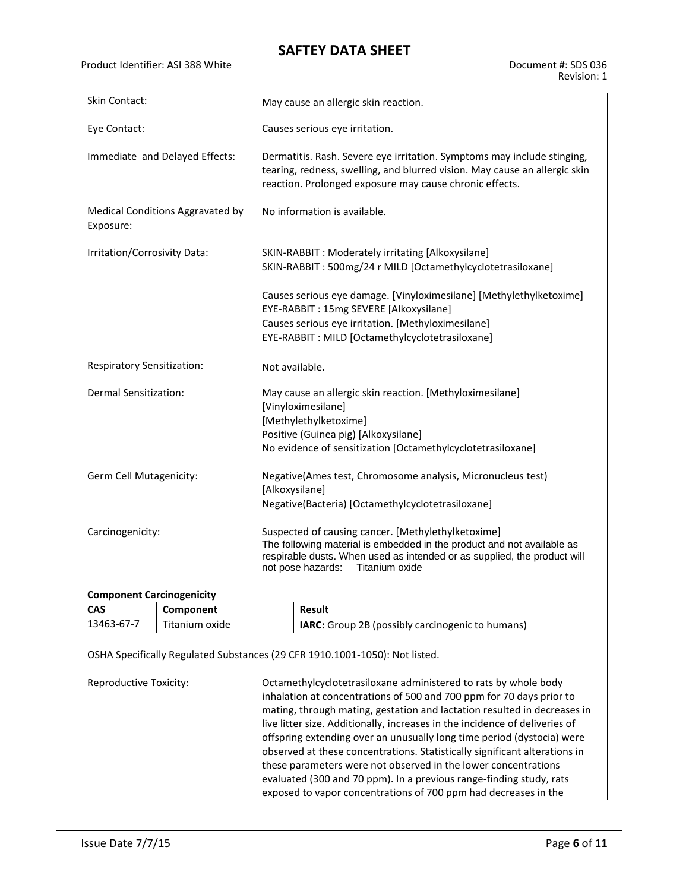Product Identifier: ASI 388 White Document #: SDS 036

| Skin Contact:                                                                                                                                                                                                                                                       | May cause an allergic skin reaction.                                                                                                                                                                                    |  |  |  |  |
|---------------------------------------------------------------------------------------------------------------------------------------------------------------------------------------------------------------------------------------------------------------------|-------------------------------------------------------------------------------------------------------------------------------------------------------------------------------------------------------------------------|--|--|--|--|
| Eye Contact:                                                                                                                                                                                                                                                        | Causes serious eye irritation.                                                                                                                                                                                          |  |  |  |  |
| Immediate and Delayed Effects:                                                                                                                                                                                                                                      | Dermatitis. Rash. Severe eye irritation. Symptoms may include stinging,<br>tearing, redness, swelling, and blurred vision. May cause an allergic skin<br>reaction. Prolonged exposure may cause chronic effects.        |  |  |  |  |
| Medical Conditions Aggravated by<br>Exposure:                                                                                                                                                                                                                       | No information is available.                                                                                                                                                                                            |  |  |  |  |
| Irritation/Corrosivity Data:                                                                                                                                                                                                                                        | SKIN-RABBIT: Moderately irritating [Alkoxysilane]<br>SKIN-RABBIT: 500mg/24 r MILD [Octamethylcyclotetrasiloxane]                                                                                                        |  |  |  |  |
|                                                                                                                                                                                                                                                                     | Causes serious eye damage. [Vinyloximesilane] [Methylethylketoxime]<br>EYE-RABBIT: 15mg SEVERE [Alkoxysilane]<br>Causes serious eye irritation. [Methyloximesilane]<br>EYE-RABBIT : MILD [Octamethylcyclotetrasiloxane] |  |  |  |  |
| <b>Respiratory Sensitization:</b>                                                                                                                                                                                                                                   | Not available.                                                                                                                                                                                                          |  |  |  |  |
| Dermal Sensitization:                                                                                                                                                                                                                                               | May cause an allergic skin reaction. [Methyloximesilane]<br>[Vinyloximesilane]<br>[Methylethylketoxime]<br>Positive (Guinea pig) [Alkoxysilane]<br>No evidence of sensitization [Octamethylcyclotetrasiloxane]          |  |  |  |  |
| Germ Cell Mutagenicity:<br>Negative(Ames test, Chromosome analysis, Micronucleus test)<br>[Alkoxysilane]<br>Negative(Bacteria) [Octamethylcyclotetrasiloxane]                                                                                                       |                                                                                                                                                                                                                         |  |  |  |  |
| Suspected of causing cancer. [Methylethylketoxime]<br>Carcinogenicity:<br>The following material is embedded in the product and not available as<br>respirable dusts. When used as intended or as supplied, the product will<br>not pose hazards:<br>Titanium oxide |                                                                                                                                                                                                                         |  |  |  |  |
| <b>Component Carcinogenicity</b>                                                                                                                                                                                                                                    |                                                                                                                                                                                                                         |  |  |  |  |
| <b>CAS</b><br>Component                                                                                                                                                                                                                                             | <b>Result</b>                                                                                                                                                                                                           |  |  |  |  |
| 13463-67-7<br>Titanium oxide                                                                                                                                                                                                                                        | IARC: Group 2B (possibly carcinogenic to humans)                                                                                                                                                                        |  |  |  |  |

OSHA Specifically Regulated Substances (29 CFR 1910.1001-1050): Not listed.

Reproductive Toxicity: Octamethylcyclotetrasiloxane administered to rats by whole body inhalation at concentrations of 500 and 700 ppm for 70 days prior to mating, through mating, gestation and lactation resulted in decreases in live litter size. Additionally, increases in the incidence of deliveries of offspring extending over an unusually long time period (dystocia) were observed at these concentrations. Statistically significant alterations in these parameters were not observed in the lower concentrations evaluated (300 and 70 ppm). In a previous range-finding study, rats exposed to vapor concentrations of 700 ppm had decreases in the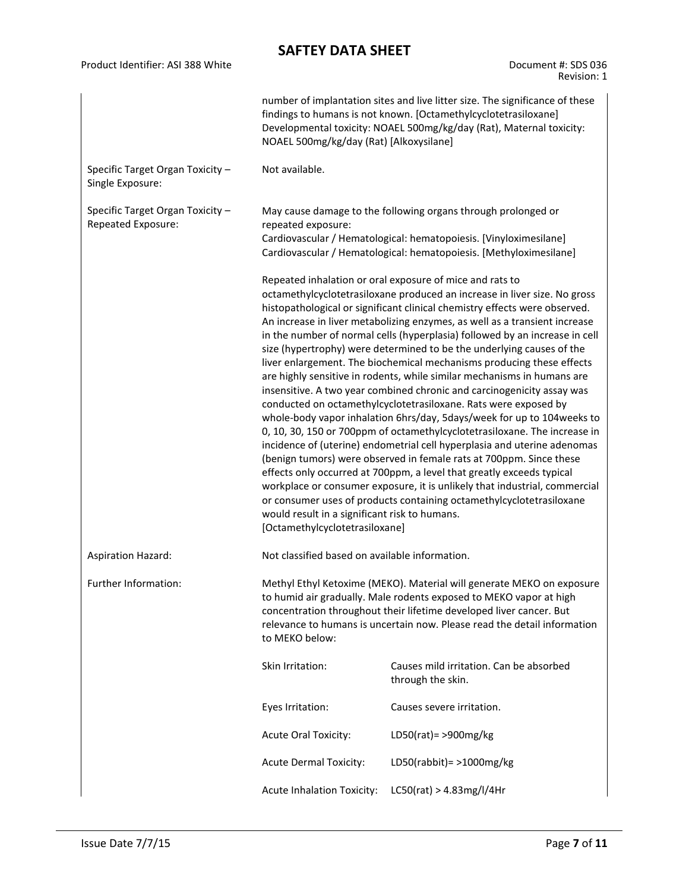| Product Identifier: ASI 388 White                      |                                                                                 | Document #: SDS 036<br>Revision: 1                                                                                                                                                                                                                                                                                                                                                                                                                                                                                                                                                                                                                                                                                                                                                                                                                                                                                                                                                                                                                                                                                                                                                                                                                                                                  |
|--------------------------------------------------------|---------------------------------------------------------------------------------|-----------------------------------------------------------------------------------------------------------------------------------------------------------------------------------------------------------------------------------------------------------------------------------------------------------------------------------------------------------------------------------------------------------------------------------------------------------------------------------------------------------------------------------------------------------------------------------------------------------------------------------------------------------------------------------------------------------------------------------------------------------------------------------------------------------------------------------------------------------------------------------------------------------------------------------------------------------------------------------------------------------------------------------------------------------------------------------------------------------------------------------------------------------------------------------------------------------------------------------------------------------------------------------------------------|
|                                                        | NOAEL 500mg/kg/day (Rat) [Alkoxysilane]                                         | number of implantation sites and live litter size. The significance of these<br>findings to humans is not known. [Octamethylcyclotetrasiloxane]<br>Developmental toxicity: NOAEL 500mg/kg/day (Rat), Maternal toxicity:                                                                                                                                                                                                                                                                                                                                                                                                                                                                                                                                                                                                                                                                                                                                                                                                                                                                                                                                                                                                                                                                             |
| Specific Target Organ Toxicity -<br>Single Exposure:   | Not available.                                                                  |                                                                                                                                                                                                                                                                                                                                                                                                                                                                                                                                                                                                                                                                                                                                                                                                                                                                                                                                                                                                                                                                                                                                                                                                                                                                                                     |
| Specific Target Organ Toxicity -<br>Repeated Exposure: | repeated exposure:                                                              | May cause damage to the following organs through prolonged or<br>Cardiovascular / Hematological: hematopoiesis. [Vinyloximesilane]<br>Cardiovascular / Hematological: hematopoiesis. [Methyloximesilane]                                                                                                                                                                                                                                                                                                                                                                                                                                                                                                                                                                                                                                                                                                                                                                                                                                                                                                                                                                                                                                                                                            |
|                                                        | would result in a significant risk to humans.<br>[Octamethylcyclotetrasiloxane] | Repeated inhalation or oral exposure of mice and rats to<br>octamethylcyclotetrasiloxane produced an increase in liver size. No gross<br>histopathological or significant clinical chemistry effects were observed.<br>An increase in liver metabolizing enzymes, as well as a transient increase<br>in the number of normal cells (hyperplasia) followed by an increase in cell<br>size (hypertrophy) were determined to be the underlying causes of the<br>liver enlargement. The biochemical mechanisms producing these effects<br>are highly sensitive in rodents, while similar mechanisms in humans are<br>insensitive. A two year combined chronic and carcinogenicity assay was<br>conducted on octamethylcyclotetrasiloxane. Rats were exposed by<br>whole-body vapor inhalation 6hrs/day, 5days/week for up to 104weeks to<br>0, 10, 30, 150 or 700ppm of octamethylcyclotetrasiloxane. The increase in<br>incidence of (uterine) endometrial cell hyperplasia and uterine adenomas<br>(benign tumors) were observed in female rats at 700ppm. Since these<br>effects only occurred at 700ppm, a level that greatly exceeds typical<br>workplace or consumer exposure, it is unlikely that industrial, commercial<br>or consumer uses of products containing octamethylcyclotetrasiloxane |
| <b>Aspiration Hazard:</b>                              | Not classified based on available information.                                  |                                                                                                                                                                                                                                                                                                                                                                                                                                                                                                                                                                                                                                                                                                                                                                                                                                                                                                                                                                                                                                                                                                                                                                                                                                                                                                     |
| Further Information:                                   | to MEKO below:                                                                  | Methyl Ethyl Ketoxime (MEKO). Material will generate MEKO on exposure<br>to humid air gradually. Male rodents exposed to MEKO vapor at high<br>concentration throughout their lifetime developed liver cancer. But<br>relevance to humans is uncertain now. Please read the detail information                                                                                                                                                                                                                                                                                                                                                                                                                                                                                                                                                                                                                                                                                                                                                                                                                                                                                                                                                                                                      |
|                                                        | Skin Irritation:                                                                | Causes mild irritation. Can be absorbed<br>through the skin.                                                                                                                                                                                                                                                                                                                                                                                                                                                                                                                                                                                                                                                                                                                                                                                                                                                                                                                                                                                                                                                                                                                                                                                                                                        |
|                                                        | Eyes Irritation:                                                                | Causes severe irritation.                                                                                                                                                                                                                                                                                                                                                                                                                                                                                                                                                                                                                                                                                                                                                                                                                                                                                                                                                                                                                                                                                                                                                                                                                                                                           |
|                                                        | Acute Oral Toxicity:                                                            | LD50(rat) = > 900mg/kg                                                                                                                                                                                                                                                                                                                                                                                                                                                                                                                                                                                                                                                                                                                                                                                                                                                                                                                                                                                                                                                                                                                                                                                                                                                                              |
|                                                        | <b>Acute Dermal Toxicity:</b>                                                   | LD50(rabbit) = $>1000$ mg/kg                                                                                                                                                                                                                                                                                                                                                                                                                                                                                                                                                                                                                                                                                                                                                                                                                                                                                                                                                                                                                                                                                                                                                                                                                                                                        |
|                                                        | Acute Inhalation Toxicity:                                                      | LC50(rat) > 4.83mg/l/4Hr                                                                                                                                                                                                                                                                                                                                                                                                                                                                                                                                                                                                                                                                                                                                                                                                                                                                                                                                                                                                                                                                                                                                                                                                                                                                            |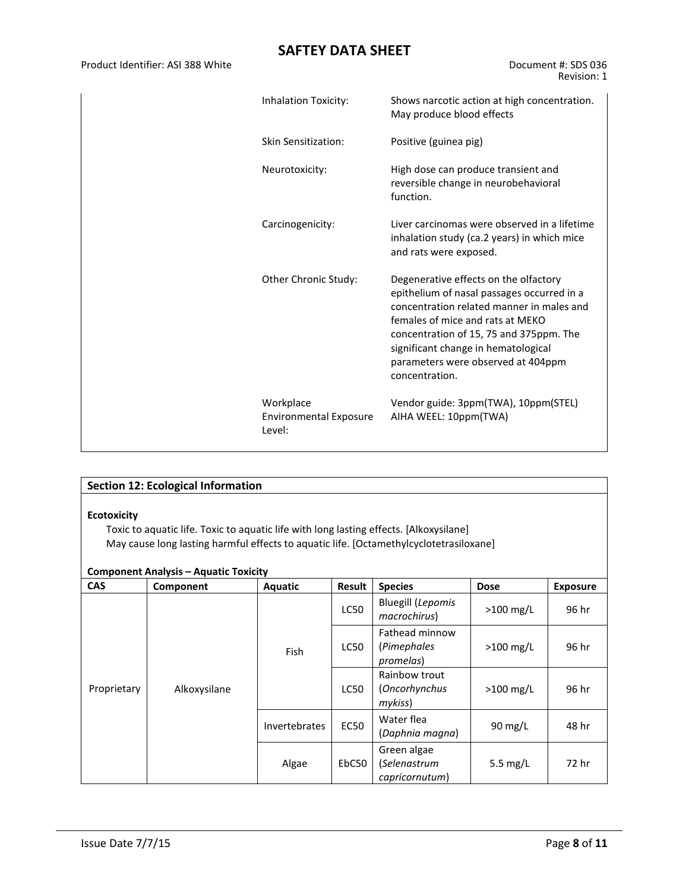Product Identifier: ASI 388 White Document #: SDS 036

| Inhalation Toxicity:                                 | Shows narcotic action at high concentration.<br>May produce blood effects                                                                                                                                                                                                                                      |
|------------------------------------------------------|----------------------------------------------------------------------------------------------------------------------------------------------------------------------------------------------------------------------------------------------------------------------------------------------------------------|
| Skin Sensitization:                                  | Positive (guinea pig)                                                                                                                                                                                                                                                                                          |
| Neurotoxicity:                                       | High dose can produce transient and<br>reversible change in neurobehavioral<br>function.                                                                                                                                                                                                                       |
| Carcinogenicity:                                     | Liver carcinomas were observed in a lifetime<br>inhalation study (ca.2 years) in which mice<br>and rats were exposed.                                                                                                                                                                                          |
| Other Chronic Study:                                 | Degenerative effects on the olfactory<br>epithelium of nasal passages occurred in a<br>concentration related manner in males and<br>females of mice and rats at MEKO<br>concentration of 15, 75 and 375ppm. The<br>significant change in hematological<br>parameters were observed at 404ppm<br>concentration. |
| Workplace<br><b>Environmental Exposure</b><br>Level: | Vendor guide: 3ppm(TWA), 10ppm(STEL)<br>AIHA WEEL: 10ppm(TWA)                                                                                                                                                                                                                                                  |

| <b>Section 12: Ecological Information</b>                                                                                                                                                              |                                                           |             |                                          |                                               |             |                 |  |  |
|--------------------------------------------------------------------------------------------------------------------------------------------------------------------------------------------------------|-----------------------------------------------------------|-------------|------------------------------------------|-----------------------------------------------|-------------|-----------------|--|--|
| <b>Ecotoxicity</b><br>Toxic to aquatic life. Toxic to aquatic life with long lasting effects. [Alkoxysilane]<br>May cause long lasting harmful effects to aquatic life. [Octamethylcyclotetrasiloxane] |                                                           |             |                                          |                                               |             |                 |  |  |
| <b>CAS</b>                                                                                                                                                                                             | <b>Component Analysis - Aquatic Toxicity</b><br>Component | Aquatic     | Result                                   | <b>Species</b>                                | <b>Dose</b> | <b>Exposure</b> |  |  |
|                                                                                                                                                                                                        |                                                           | <b>LC50</b> | <b>Bluegill (Lepomis</b><br>macrochirus) | $>100$ mg/L                                   | 96 hr       |                 |  |  |
|                                                                                                                                                                                                        | Alkoxysilane                                              | Fish        | LC50                                     | Fathead minnow<br>(Pimephales<br>promelas)    | $>100$ mg/L | 96 hr           |  |  |
| Proprietary                                                                                                                                                                                            |                                                           |             | LC50                                     | Rainbow trout<br>(Oncorhynchus<br>mykiss)     | $>100$ mg/L | 96 hr           |  |  |
|                                                                                                                                                                                                        | <b>Invertebrates</b>                                      | <b>EC50</b> | Water flea<br>(Daphnia magna)            | $90 \text{ mg/L}$                             | 48 hr       |                 |  |  |
|                                                                                                                                                                                                        |                                                           | Algae       | EbC50                                    | Green algae<br>(Selenastrum<br>capricornutum) | 5.5 $mg/L$  | 72 hr           |  |  |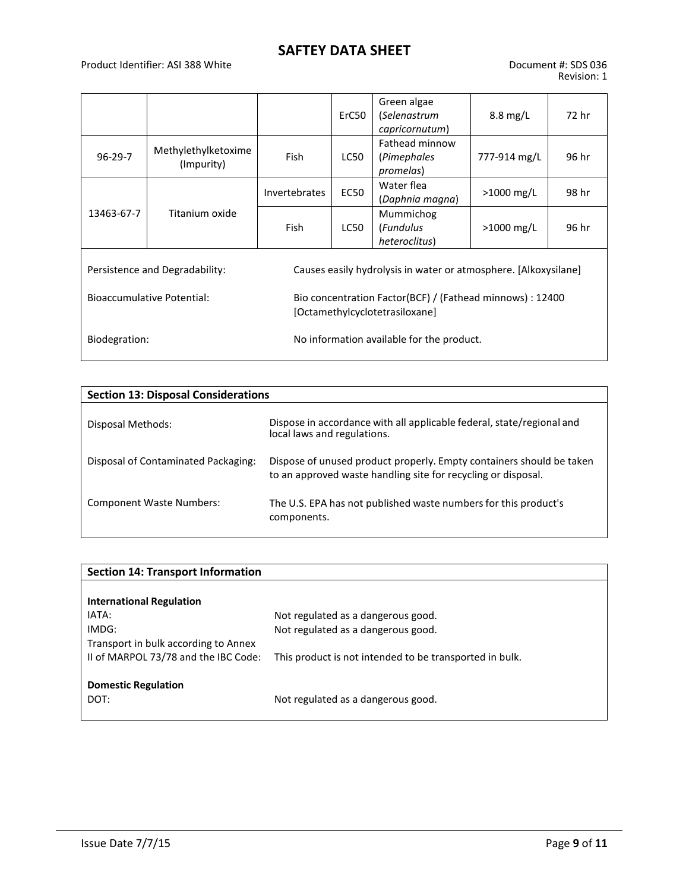#### Product Identifier: ASI 388 White Document #: SDS 036

|                                                                                                                           |                                           |                      | ErC <sub>50</sub> | Green algae<br>(Selenastrum<br>capricornutum)      | $8.8 \text{ mg/L}$ | 72 hr |
|---------------------------------------------------------------------------------------------------------------------------|-------------------------------------------|----------------------|-------------------|----------------------------------------------------|--------------------|-------|
| $96 - 29 - 7$                                                                                                             | Methylethylketoxime<br>(Impurity)         | <b>Fish</b>          | <b>LC50</b>       | Fathead minnow<br>(Pimephales<br><i>promelas</i> ) | 777-914 mg/L       | 96 hr |
|                                                                                                                           |                                           | <b>Invertebrates</b> | <b>EC50</b>       | Water flea<br>(Daphnia magna)                      | $>1000$ mg/L       | 98 hr |
| 13463-67-7                                                                                                                | Titanium oxide                            | <b>Fish</b>          | <b>LC50</b>       | Mummichog<br>(Fundulus<br>heteroclitus)            | $>1000$ mg/L       | 96 hr |
| Persistence and Degradability:<br>Causes easily hydrolysis in water or atmosphere. [Alkoxysilane]                         |                                           |                      |                   |                                                    |                    |       |
| Bioaccumulative Potential:<br>Bio concentration Factor(BCF) / (Fathead minnows) : 12400<br>[Octamethylcyclotetrasiloxane] |                                           |                      |                   |                                                    |                    |       |
| Biodegration:                                                                                                             | No information available for the product. |                      |                   |                                                    |                    |       |

| <b>Section 13: Disposal Considerations</b> |                                                                                                                                       |
|--------------------------------------------|---------------------------------------------------------------------------------------------------------------------------------------|
| Disposal Methods:                          | Dispose in accordance with all applicable federal, state/regional and<br>local laws and regulations.                                  |
| Disposal of Contaminated Packaging:        | Dispose of unused product properly. Empty containers should be taken<br>to an approved waste handling site for recycling or disposal. |
| <b>Component Waste Numbers:</b>            | The U.S. EPA has not published waste numbers for this product's<br>components.                                                        |

| <b>Section 14: Transport Information</b> |                                                         |
|------------------------------------------|---------------------------------------------------------|
|                                          |                                                         |
| <b>International Regulation</b>          |                                                         |
| IATA:                                    | Not regulated as a dangerous good.                      |
| IMDG:                                    | Not regulated as a dangerous good.                      |
| Transport in bulk according to Annex     |                                                         |
| II of MARPOL 73/78 and the IBC Code:     | This product is not intended to be transported in bulk. |
|                                          |                                                         |
| <b>Domestic Regulation</b>               |                                                         |
| DOT:                                     | Not regulated as a dangerous good.                      |
|                                          |                                                         |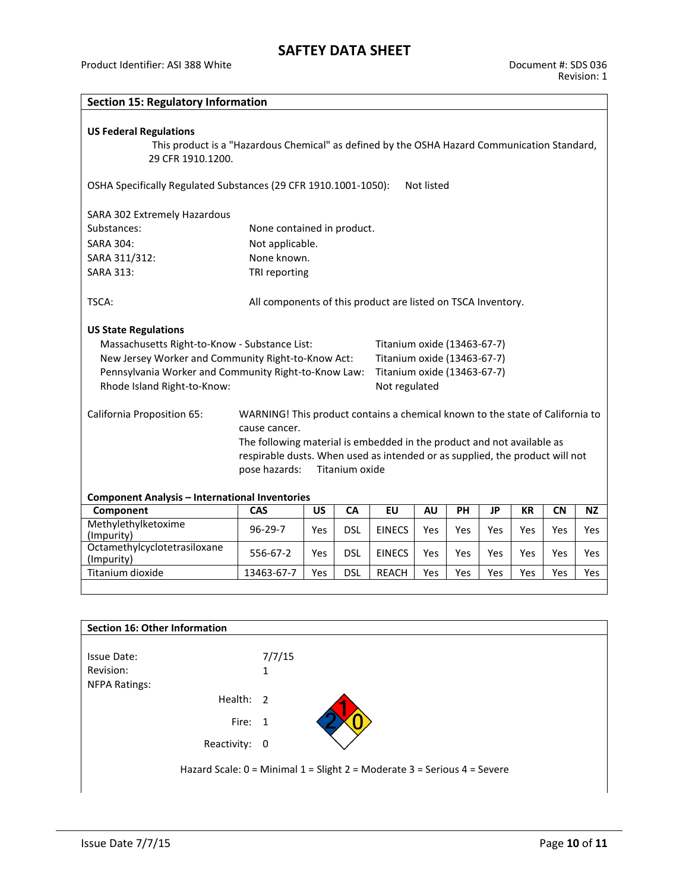Product Identifier: ASI 388 White Document #: SDS 036

| <b>Section 15: Regulatory Information</b>                                                                                                                                                                                                                                                                                 |                                                              |     |            |                             |            |     |           |           |           |           |
|---------------------------------------------------------------------------------------------------------------------------------------------------------------------------------------------------------------------------------------------------------------------------------------------------------------------------|--------------------------------------------------------------|-----|------------|-----------------------------|------------|-----|-----------|-----------|-----------|-----------|
| <b>US Federal Regulations</b><br>This product is a "Hazardous Chemical" as defined by the OSHA Hazard Communication Standard,<br>29 CFR 1910.1200.                                                                                                                                                                        |                                                              |     |            |                             |            |     |           |           |           |           |
| OSHA Specifically Regulated Substances (29 CFR 1910.1001-1050):                                                                                                                                                                                                                                                           |                                                              |     |            |                             | Not listed |     |           |           |           |           |
| SARA 302 Extremely Hazardous                                                                                                                                                                                                                                                                                              |                                                              |     |            |                             |            |     |           |           |           |           |
| Substances:                                                                                                                                                                                                                                                                                                               | None contained in product.                                   |     |            |                             |            |     |           |           |           |           |
| <b>SARA 304:</b>                                                                                                                                                                                                                                                                                                          | Not applicable.                                              |     |            |                             |            |     |           |           |           |           |
| SARA 311/312:                                                                                                                                                                                                                                                                                                             | None known.                                                  |     |            |                             |            |     |           |           |           |           |
| <b>SARA 313:</b>                                                                                                                                                                                                                                                                                                          | TRI reporting                                                |     |            |                             |            |     |           |           |           |           |
| TSCA:<br><b>US State Regulations</b>                                                                                                                                                                                                                                                                                      | All components of this product are listed on TSCA Inventory. |     |            |                             |            |     |           |           |           |           |
| Massachusetts Right-to-Know - Substance List:                                                                                                                                                                                                                                                                             |                                                              |     |            | Titanium oxide (13463-67-7) |            |     |           |           |           |           |
| New Jersey Worker and Community Right-to-Know Act:                                                                                                                                                                                                                                                                        |                                                              |     |            | Titanium oxide (13463-67-7) |            |     |           |           |           |           |
| Pennsylvania Worker and Community Right-to-Know Law:                                                                                                                                                                                                                                                                      |                                                              |     |            | Titanium oxide (13463-67-7) |            |     |           |           |           |           |
| Rhode Island Right-to-Know:<br>Not regulated                                                                                                                                                                                                                                                                              |                                                              |     |            |                             |            |     |           |           |           |           |
| California Proposition 65:<br>WARNING! This product contains a chemical known to the state of California to<br>cause cancer.<br>The following material is embedded in the product and not available as<br>respirable dusts. When used as intended or as supplied, the product will not<br>pose hazards:<br>Titanium oxide |                                                              |     |            |                             |            |     |           |           |           |           |
| <b>Component Analysis - International Inventories</b><br>Component                                                                                                                                                                                                                                                        | CAS                                                          | US  | CA         | EU                          | <b>AU</b>  | PH  | <b>JP</b> | <b>KR</b> | <b>CN</b> | <b>NZ</b> |
| Methylethylketoxime                                                                                                                                                                                                                                                                                                       |                                                              |     |            |                             |            |     |           |           |           |           |
| (Impurity)                                                                                                                                                                                                                                                                                                                | $96 - 29 - 7$                                                | Yes | <b>DSL</b> | <b>EINECS</b>               | Yes        | Yes | Yes       | Yes       | Yes       | Yes       |
| Octamethylcyclotetrasiloxane<br>(Impurity)                                                                                                                                                                                                                                                                                | 556-67-2                                                     | Yes | <b>DSL</b> | <b>EINECS</b>               | Yes        | Yes | Yes       | Yes       | Yes       | Yes       |

| Section 16: Other Information     |                                                                          |
|-----------------------------------|--------------------------------------------------------------------------|
| Issue Date:                       | 7/7/15                                                                   |
| Revision:<br><b>NFPA Ratings:</b> | 1                                                                        |
| Health: 2                         |                                                                          |
| Fire: 1                           |                                                                          |
| Reactivity: 0                     |                                                                          |
|                                   | Hazard Scale: 0 = Minimal 1 = Slight 2 = Moderate 3 = Serious 4 = Severe |

Titanium dioxide 13463-67-7 Yes DSL REACH Yes Yes Yes Yes Yes Yes Yes